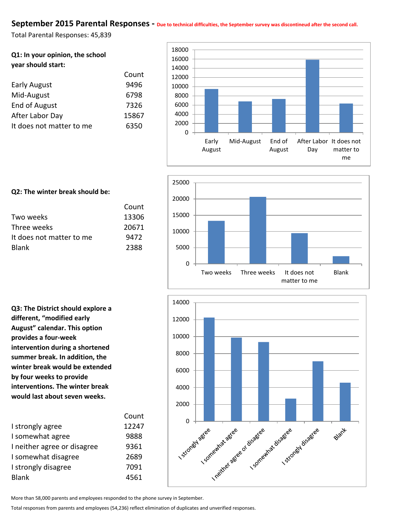### September 2015 Parental Responses - Due to technical difficulties, the September survey was discontineud after the second call.

Total Parental Responses: 45,839

| Q1: In your opinion, the school |
|---------------------------------|
| year should start:              |

|                          | Count |
|--------------------------|-------|
| <b>Early August</b>      | 9496  |
| Mid-August               | 6798  |
| <b>End of August</b>     | 7326  |
| After Labor Day          | 15867 |
| It does not matter to me | 6350  |







#### **Q2: The winter break should be:**

|                          | Count |
|--------------------------|-------|
| Two weeks                | 13306 |
| Three weeks              | 20671 |
| It does not matter to me | 9472  |
| <b>Blank</b>             | 2388  |

**Q3: The District should explore a different, "modified early August" calendar. This option provides a four-week intervention during a shortened summer break. In addition, the winter break would be extended by four weeks to provide interventions. The winter break would last about seven weeks.**

|                             | Count |
|-----------------------------|-------|
| I strongly agree            | 12247 |
| I somewhat agree            | 9888  |
| I neither agree or disagree | 9361  |
| I somewhat disagree         | 2689  |
| I strongly disagree         | 7091  |
| <b>Blank</b>                | 4561  |
|                             |       |

More than 58,000 parents and employees responded to the phone survey in September.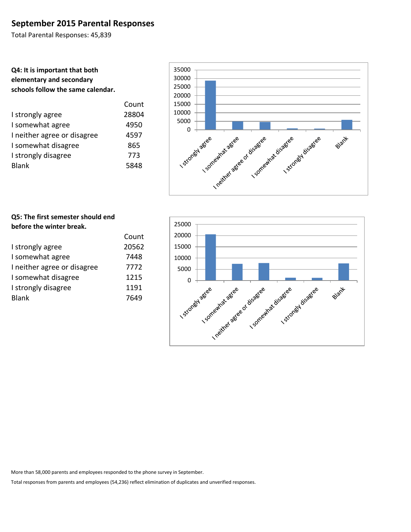## **September 2015 Parental Responses**

Total Parental Responses: 45,839

## **Q4: It is important that both elementary and secondary schools follow the same calendar.**

| Count |
|-------|
| 28804 |
| 4950  |
| 4597  |
| 865   |
| 773   |
| 5848  |
|       |





### **Q5: The first semester should end before the winter break.**

|                             | Count |
|-----------------------------|-------|
| I strongly agree            | 20562 |
| I somewhat agree            | 7448  |
| I neither agree or disagree | 7772  |
| I somewhat disagree         | 1215  |
| I strongly disagree         | 1191  |
| <b>Blank</b>                | 7649  |
|                             |       |

More than 58,000 parents and employees responded to the phone survey in September.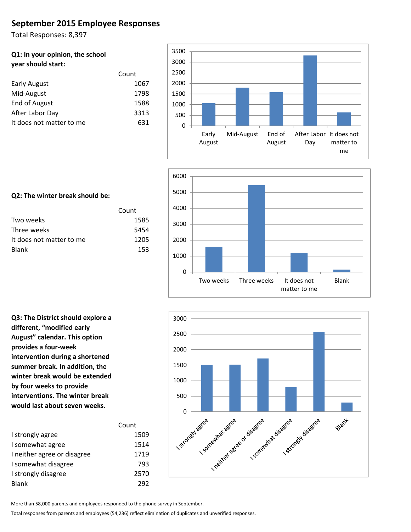# **September 2015 Employee Responses**

Total Responses: 8,397

#### **Q1: In your opinion, the school year should start:**

|                          | Count |
|--------------------------|-------|
| <b>Early August</b>      | 1067  |
| Mid-August               | 1798  |
| End of August            | 1588  |
| After Labor Day          | 3313  |
| It does not matter to me | 631   |





### **Q2: The winter break should be:**

|                          | Count |
|--------------------------|-------|
| Two weeks                | 1585  |
| Three weeks              | 5454  |
| It does not matter to me | 1205  |
| <b>Blank</b>             | 153   |

**Q3: The District should explore a different, "modified early August" calendar. This option provides a four-week intervention during a shortened summer break. In addition, the winter break would be extended by four weeks to provide interventions. The winter break would last about seven weeks.**

|                             | Count |
|-----------------------------|-------|
| I strongly agree            | 1509  |
| I somewhat agree            | 1514  |
| I neither agree or disagree | 1719  |
| I somewhat disagree         | 793   |
| I strongly disagree         | 2570  |
| <b>Blank</b>                | 292   |



More than 58,000 parents and employees responded to the phone survey in September.